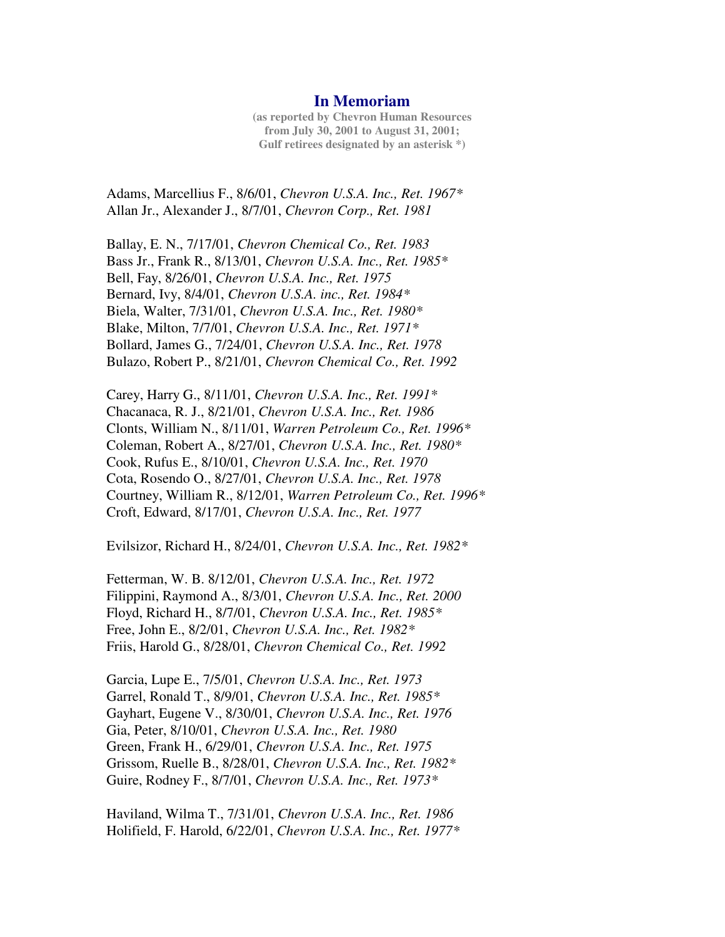## **In Memoriam**

**(as reported by Chevron Human Resources from July 30, 2001 to August 31, 2001; Gulf retirees designated by an asterisk \*)**

Adams, Marcellius F., 8/6/01, *Chevron U.S.A. Inc., Ret. 1967\** Allan Jr., Alexander J., 8/7/01, *Chevron Corp., Ret. 1981*

Ballay, E. N., 7/17/01, *Chevron Chemical Co., Ret. 1983* Bass Jr., Frank R., 8/13/01, *Chevron U.S.A. Inc., Ret. 1985\** Bell, Fay, 8/26/01, *Chevron U.S.A. Inc., Ret. 1975* Bernard, Ivy, 8/4/01, *Chevron U.S.A. inc., Ret. 1984\** Biela, Walter, 7/31/01, *Chevron U.S.A. Inc., Ret. 1980\** Blake, Milton, 7/7/01, *Chevron U.S.A. Inc., Ret. 1971\** Bollard, James G., 7/24/01, *Chevron U.S.A. Inc., Ret. 1978* Bulazo, Robert P., 8/21/01, *Chevron Chemical Co., Ret. 1992*

Carey, Harry G., 8/11/01, *Chevron U.S.A. Inc., Ret. 1991\** Chacanaca, R. J., 8/21/01, *Chevron U.S.A. Inc., Ret. 1986* Clonts, William N., 8/11/01, *Warren Petroleum Co., Ret. 1996\** Coleman, Robert A., 8/27/01, *Chevron U.S.A. Inc., Ret. 1980\** Cook, Rufus E., 8/10/01, *Chevron U.S.A. Inc., Ret. 1970* Cota, Rosendo O., 8/27/01, *Chevron U.S.A. Inc., Ret. 1978* Courtney, William R., 8/12/01, *Warren Petroleum Co., Ret. 1996\** Croft, Edward, 8/17/01, *Chevron U.S.A. Inc., Ret. 1977*

Evilsizor, Richard H., 8/24/01, *Chevron U.S.A. Inc., Ret. 1982\**

Fetterman, W. B. 8/12/01, *Chevron U.S.A. Inc., Ret. 1972* Filippini, Raymond A., 8/3/01, *Chevron U.S.A. Inc., Ret. 2000* Floyd, Richard H., 8/7/01, *Chevron U.S.A. Inc., Ret. 1985\** Free, John E., 8/2/01, *Chevron U.S.A. Inc., Ret. 1982\** Friis, Harold G., 8/28/01, *Chevron Chemical Co., Ret. 1992*

Garcia, Lupe E., 7/5/01, *Chevron U.S.A. Inc., Ret. 1973* Garrel, Ronald T., 8/9/01, *Chevron U.S.A. Inc., Ret. 1985\** Gayhart, Eugene V., 8/30/01, *Chevron U.S.A. Inc., Ret. 1976* Gia, Peter, 8/10/01, *Chevron U.S.A. Inc., Ret. 1980* Green, Frank H., 6/29/01, *Chevron U.S.A. Inc., Ret. 1975* Grissom, Ruelle B., 8/28/01, *Chevron U.S.A. Inc., Ret. 1982\** Guire, Rodney F., 8/7/01, *Chevron U.S.A. Inc., Ret. 1973\**

Haviland, Wilma T., 7/31/01, *Chevron U.S.A. Inc., Ret. 1986* Holifield, F. Harold, 6/22/01, *Chevron U.S.A. Inc., Ret. 1977\**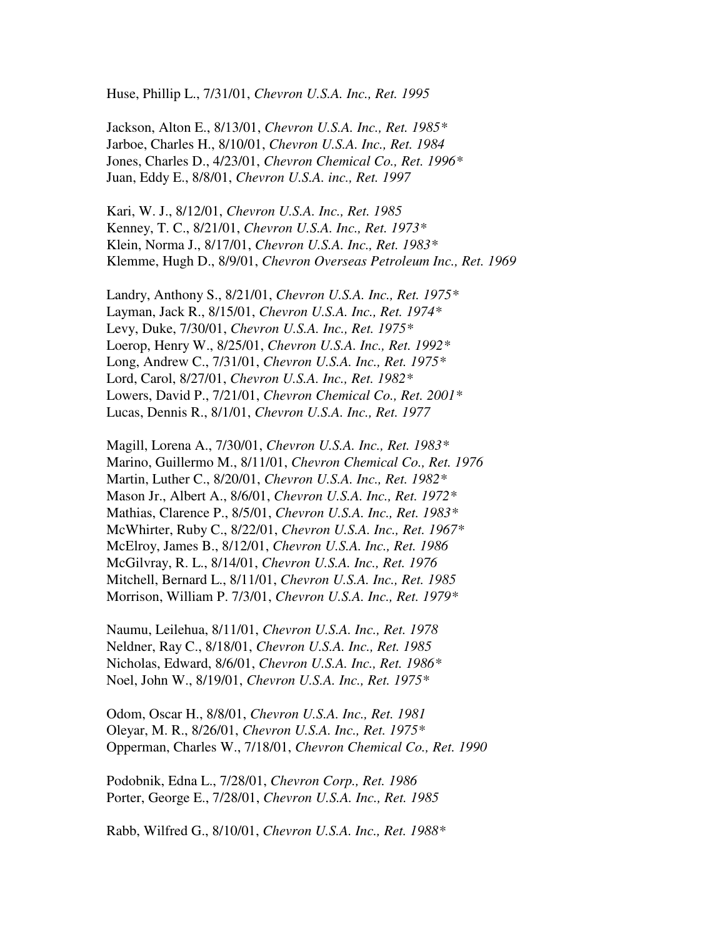Huse, Phillip L., 7/31/01, *Chevron U.S.A. Inc., Ret. 1995*

Jackson, Alton E., 8/13/01, *Chevron U.S.A. Inc., Ret. 1985\** Jarboe, Charles H., 8/10/01, *Chevron U.S.A. Inc., Ret. 1984* Jones, Charles D., 4/23/01, *Chevron Chemical Co., Ret. 1996\** Juan, Eddy E., 8/8/01, *Chevron U.S.A. inc., Ret. 1997*

Kari, W. J., 8/12/01, *Chevron U.S.A. Inc., Ret. 1985* Kenney, T. C., 8/21/01, *Chevron U.S.A. Inc., Ret. 1973\** Klein, Norma J., 8/17/01, *Chevron U.S.A. Inc., Ret. 1983\** Klemme, Hugh D., 8/9/01, *Chevron Overseas Petroleum Inc., Ret. 1969*

Landry, Anthony S., 8/21/01, *Chevron U.S.A. Inc., Ret. 1975\** Layman, Jack R., 8/15/01, *Chevron U.S.A. Inc., Ret. 1974\** Levy, Duke, 7/30/01, *Chevron U.S.A. Inc., Ret. 1975\** Loerop, Henry W., 8/25/01, *Chevron U.S.A. Inc., Ret. 1992\** Long, Andrew C., 7/31/01, *Chevron U.S.A. Inc., Ret. 1975\** Lord, Carol, 8/27/01, *Chevron U.S.A. Inc., Ret. 1982\** Lowers, David P., 7/21/01, *Chevron Chemical Co., Ret. 2001\** Lucas, Dennis R., 8/1/01, *Chevron U.S.A. Inc., Ret. 1977*

Magill, Lorena A., 7/30/01, *Chevron U.S.A. Inc., Ret. 1983\** Marino, Guillermo M., 8/11/01, *Chevron Chemical Co., Ret. 1976* Martin, Luther C., 8/20/01, *Chevron U.S.A. Inc., Ret. 1982\** Mason Jr., Albert A., 8/6/01, *Chevron U.S.A. Inc., Ret. 1972\** Mathias, Clarence P., 8/5/01, *Chevron U.S.A. Inc., Ret. 1983\** McWhirter, Ruby C., 8/22/01, *Chevron U.S.A. Inc., Ret. 1967\** McElroy, James B., 8/12/01, *Chevron U.S.A. Inc., Ret. 1986* McGilvray, R. L., 8/14/01, *Chevron U.S.A. Inc., Ret. 1976* Mitchell, Bernard L., 8/11/01, *Chevron U.S.A. Inc., Ret. 1985* Morrison, William P. 7/3/01, *Chevron U.S.A. Inc., Ret. 1979\**

Naumu, Leilehua, 8/11/01, *Chevron U.S.A. Inc., Ret. 1978* Neldner, Ray C., 8/18/01, *Chevron U.S.A. Inc., Ret. 1985* Nicholas, Edward, 8/6/01, *Chevron U.S.A. Inc., Ret. 1986\** Noel, John W., 8/19/01, *Chevron U.S.A. Inc., Ret. 1975\**

Odom, Oscar H., 8/8/01, *Chevron U.S.A. Inc., Ret. 1981* Oleyar, M. R., 8/26/01, *Chevron U.S.A. Inc., Ret. 1975\** Opperman, Charles W., 7/18/01, *Chevron Chemical Co., Ret. 1990*

Podobnik, Edna L., 7/28/01, *Chevron Corp., Ret. 1986* Porter, George E., 7/28/01, *Chevron U.S.A. Inc., Ret. 1985*

Rabb, Wilfred G., 8/10/01, *Chevron U.S.A. Inc., Ret. 1988\**